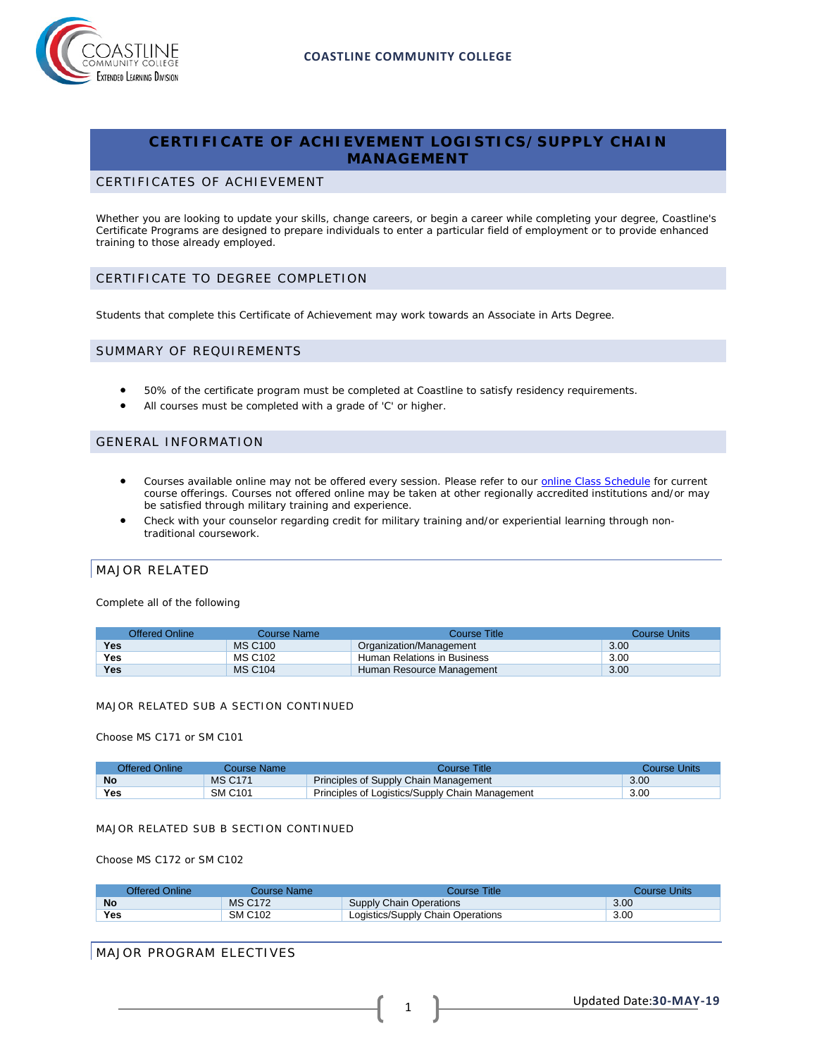

# **CERTIFICATE OF ACHIEVEMENT LOGISTICS/SUPPLY CHAIN MANAGEMENT**

### CERTIFICATES OF ACHIEVEMENT

Whether you are looking to update your skills, change careers, or begin a career while completing your degree, Coastline's Certificate Programs are designed to prepare individuals to enter a particular field of employment or to provide enhanced training to those already employed.

## CERTIFICATE TO DEGREE COMPLETION

Students that complete this Certificate of Achievement may work towards an Associate in Arts Degree.

#### SUMMARY OF REQUIREMENTS

- 50% of the certificate program must be completed at Coastline to satisfy residency requirements.
- All courses must be completed with a grade of 'C' or higher.

### GENERAL INFORMATION

- Courses available online may not be offered every session. Please refer to our **[online Class Schedule](http://military.coastline.edu/schedule/page.cfm?LinkID=1706)** for current course offerings. Courses not offered online may be taken at other regionally accredited institutions and/or may be satisfied through military training and experience.
- Check with your counselor regarding credit for military training and/or experiential learning through nontraditional coursework.

## MAJOR RELATED

Complete all of the following

| <b>Offered Online</b> | Course Name    | Course Title                | Course Units |
|-----------------------|----------------|-----------------------------|--------------|
| <b>Yes</b>            | <b>MS C100</b> | Organization/Management     | 3.00         |
| Yes                   | <b>MS C102</b> | Human Relations in Business | 3.00         |
| <b>Yes</b>            | <b>MS C104</b> | Human Resource Management   | 3.00         |

#### MAJOR RELATED SUB A SECTION CONTINUED

Choose MS C171 or SM C101

| Offered Online | Course Name    | Course Title <sup>-</sup>                       | Course Units |
|----------------|----------------|-------------------------------------------------|--------------|
| <b>No</b>      | <b>MS C171</b> | Principles of Supply Chain Management           | 3.00         |
| Yes            | SM C101        | Principles of Logistics/Supply Chain Management | 3.00         |

#### MAJOR RELATED SUB B SECTION CONTINUED

Choose MS C172 or SM C102

| Offered Online | Course Name:   | Course Title:                     | Course Units |
|----------------|----------------|-----------------------------------|--------------|
| <b>No</b>      | <b>MS C172</b> | Supply Chain Operations           | 3.00         |
| <b>Yes</b>     | SM C102        | Logistics/Supply Chain Operations | 3.00         |

## MAJOR PROGRAM ELECTIVES